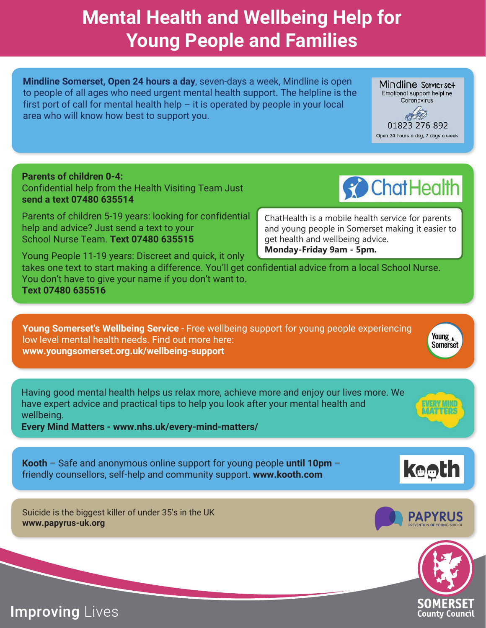## **Mental Health and Wellbeing Help for Young People and Families**

**Mindline Somerset, Open 24 hours a day**, seven-days a week, Mindline is open to people of all ages who need urgent mental health support. The helpline is the first port of call for mental health help  $-$  it is operated by people in your local area who will know how best to support you.

**Parents of children 0-4:**  Confidential help from the Health Visiting Team Just **send a text 07480 635514** 

Parents of children 5-19 years: looking for confidential help and advice? Just send a text to your School Nurse Team. **Text 07480 635515**

Young People 11-19 years: Discreet and quick, it only takes one text to start making a difference. You'll get confidential advice from a local School Nurse. You don't have to give your name if you don't want to. **Text 07480 635516 Monday-Friday 9am - 5pm.**

**Young Somerset's Wellbeing Service** - Free wellbeing support for young people experiencing low level mental health needs. Find out more here: **www.youngsomerset.org.uk/wellbeing-support** 

Having good mental health helps us relax more, achieve more and enjoy our lives more. We have expert advice and practical tips to help you look after your mental health and wellbeing.

**Every Mind Matters - www.nhs.uk/every-mind-matters/**

**Kooth** – Safe and anonymous online support for young people **until 10pm** – friendly counsellors, self-help and community support. **www.kooth.com**

Suicide is the biggest killer of under 35's in the UK **www.papyrus-uk.org**





Young , **Somerset** 







ChatHealth is a mobile health service for parents and young people in Somerset making it easier to

get health and wellbeing advice.